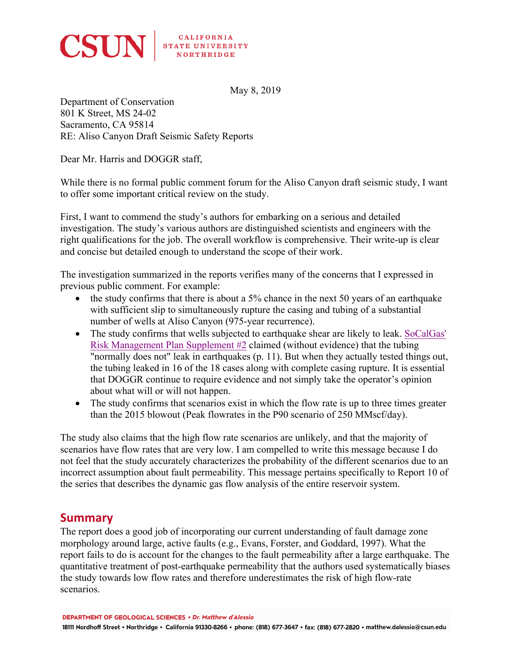

**CALIFORNIA** STATE UNIVERSITY

May 8, 2019

Department of Conservation 801 K Street, MS 24-02 Sacramento, CA 95814 RE: Aliso Canyon Draft Seismic Safety Reports

Dear Mr. Harris and DOGGR staff,

While there is no formal public comment forum for the Aliso Canyon draft seismic study, I want to offer some important critical review on the study.

First, I want to commend the study's authors for embarking on a serious and detailed investigation. The study's various authors are distinguished scientists and engineers with the right qualifications for the job. The overall workflow is comprehensive. Their write-up is clear and concise but detailed enough to understand the scope of their work.

The investigation summarized in the reports verifies many of the concerns that I expressed in previous public comment. For example:

- the study confirms that there is about a 5% chance in the next 50 years of an earthquake with sufficient slip to simultaneously rupture the casing and tubing of a substantial number of wells at Aliso Canyon (975-year recurrence).
- The study confirms that wells subjected to earthquake shear are likely to leak. SoCalGas' Risk Management Plan Supplement #2 claimed (without evidence) that the tubing "normally does not" leak in earthquakes (p. 11). But when they actually tested things out, the tubing leaked in 16 of the 18 cases along with complete casing rupture. It is essential that DOGGR continue to require evidence and not simply take the operator's opinion about what will or will not happen.
- The study confirms that scenarios exist in which the flow rate is up to three times greater than the 2015 blowout (Peak flowrates in the P90 scenario of 250 MMscf/day).

The study also claims that the high flow rate scenarios are unlikely, and that the majority of scenarios have flow rates that are very low. I am compelled to write this message because I do not feel that the study accurately characterizes the probability of the different scenarios due to an incorrect assumption about fault permeability. This message pertains specifically to Report 10 of the series that describes the dynamic gas flow analysis of the entire reservoir system.

# **Summary**

The report does a good job of incorporating our current understanding of fault damage zone morphology around large, active faults (e.g., Evans, Forster, and Goddard, 1997). What the report fails to do is account for the changes to the fault permeability after a large earthquake. The quantitative treatment of post-earthquake permeability that the authors used systematically biases the study towards low flow rates and therefore underestimates the risk of high flow-rate scenarios.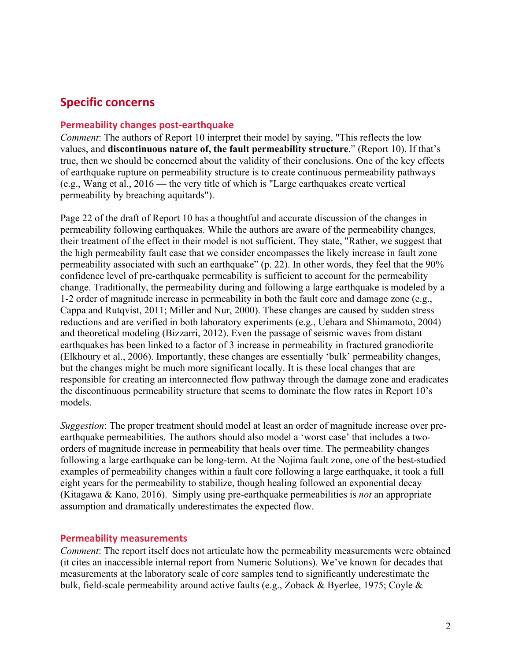# **Specific concerns**

#### **Permeability changes post-earthquake**

*Comment*: The authors of Report 10 interpret their model by saying, "This reflects the low values, and **discontinuous nature of, the fault permeability structure**." (Report 10). If that's true, then we should be concerned about the validity of their conclusions. One of the key effects of earthquake rupture on permeability structure is to create continuous permeability pathways (e.g., Wang et al., 2016 — the very title of which is "Large earthquakes create vertical permeability by breaching aquitards").

Page 22 of the draft of Report 10 has a thoughtful and accurate discussion of the changes in permeability following earthquakes. While the authors are aware of the permeability changes, their treatment of the effect in their model is not sufficient. They state, "Rather, we suggest that the high permeability fault case that we consider encompasses the likely increase in fault zone permeability associated with such an earthquake" (p. 22). In other words, they feel that the 90% confidence level of pre-earthquake permeability is sufficient to account for the permeability change. Traditionally, the permeability during and following a large earthquake is modeled by a 1-2 order of magnitude increase in permeability in both the fault core and damage zone (e.g., Cappa and Rutqvist, 2011; Miller and Nur, 2000). These changes are caused by sudden stress reductions and are verified in both laboratory experiments (e.g., Uehara and Shimamoto, 2004) and theoretical modeling (Bizzarri, 2012). Even the passage of seismic waves from distant earthquakes has been linked to a factor of 3 increase in permeability in fractured granodiorite (Elkhoury et al., 2006). Importantly, these changes are essentially 'bulk' permeability changes, but the changes might be much more significant locally. It is these local changes that are responsible for creating an interconnected flow pathway through the damage zone and eradicates the discontinuous permeability structure that seems to dominate the flow rates in Report 10's models.

*Suggestion*: The proper treatment should model at least an order of magnitude increase over preearthquake permeabilities. The authors should also model a 'worst case' that includes a twoorders of magnitude increase in permeability that heals over time. The permeability changes following a large earthquake can be long-term. At the Nojima fault zone, one of the best-studied examples of permeability changes within a fault core following a large earthquake, it took a full eight years for the permeability to stabilize, though healing followed an exponential decay (Kitagawa & Kano, 2016). Simply using pre-earthquake permeabilities is *not* an appropriate assumption and dramatically underestimates the expected flow.

#### **Permeability measurements**

*Comment*: The report itself does not articulate how the permeability measurements were obtained (it cites an inaccessible internal report from Numeric Solutions). We've known for decades that measurements at the laboratory scale of core samples tend to significantly underestimate the bulk, field-scale permeability around active faults (e.g., Zoback & Byerlee, 1975; Coyle &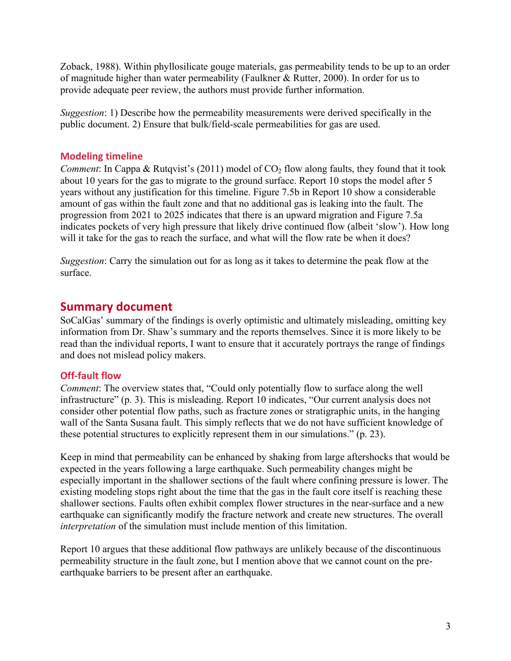Zoback, 1988). Within phyllosilicate gouge materials, gas permeability tends to be up to an order of magnitude higher than water permeability (Faulkner & Rutter, 2000). In order for us to provide adequate peer review, the authors must provide further information.

*Suggestion*: 1) Describe how the permeability measurements were derived specifically in the public document. 2) Ensure that bulk/field-scale permeabilities for gas are used.

### **Modeling timeline**

*Comment*: In Cappa & Rutqvist's (2011) model of  $CO<sub>2</sub>$  flow along faults, they found that it took about 10 years for the gas to migrate to the ground surface. Report 10 stops the model after 5 years without any justification for this timeline. Figure 7.5b in Report 10 show a considerable amount of gas within the fault zone and that no additional gas is leaking into the fault. The progression from 2021 to 2025 indicates that there is an upward migration and Figure 7.5a indicates pockets of very high pressure that likely drive continued flow (albeit 'slow'). How long will it take for the gas to reach the surface, and what will the flow rate be when it does?

*Suggestion*: Carry the simulation out for as long as it takes to determine the peak flow at the surface.

## **Summary document**

SoCalGas' summary of the findings is overly optimistic and ultimately misleading, omitting key information from Dr. Shaw's summary and the reports themselves. Since it is more likely to be read than the individual reports, I want to ensure that it accurately portrays the range of findings and does not mislead policy makers.

### **Off-fault flow**

*Comment*: The overview states that, "Could only potentially flow to surface along the well infrastructure" (p. 3). This is misleading. Report 10 indicates, "Our current analysis does not consider other potential flow paths, such as fracture zones or stratigraphic units, in the hanging wall of the Santa Susana fault. This simply reflects that we do not have sufficient knowledge of these potential structures to explicitly represent them in our simulations." (p. 23).

Keep in mind that permeability can be enhanced by shaking from large aftershocks that would be expected in the years following a large earthquake. Such permeability changes might be especially important in the shallower sections of the fault where confining pressure is lower. The existing modeling stops right about the time that the gas in the fault core itself is reaching these shallower sections. Faults often exhibit complex flower structures in the near-surface and a new earthquake can significantly modify the fracture network and create new structures. The overall *interpretation* of the simulation must include mention of this limitation.

Report 10 argues that these additional flow pathways are unlikely because of the discontinuous permeability structure in the fault zone, but I mention above that we cannot count on the preearthquake barriers to be present after an earthquake.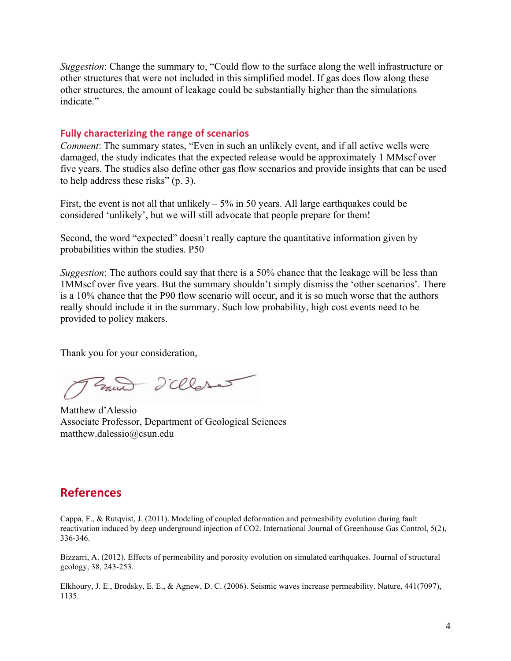*Suggestion*: Change the summary to, "Could flow to the surface along the well infrastructure or other structures that were not included in this simplified model. If gas does flow along these other structures, the amount of leakage could be substantially higher than the simulations indicate"

#### **Fully characterizing the range of scenarios**

*Comment*: The summary states, "Even in such an unlikely event, and if all active wells were damaged, the study indicates that the expected release would be approximately 1 MMscf over five years. The studies also define other gas flow scenarios and provide insights that can be used to help address these risks" (p. 3).

First, the event is not all that unlikely  $-5\%$  in 50 years. All large earthquakes could be considered 'unlikely', but we will still advocate that people prepare for them!

Second, the word "expected" doesn't really capture the quantitative information given by probabilities within the studies. P50

*Suggestion*: The authors could say that there is a 50% chance that the leakage will be less than 1MMscf over five years. But the summary shouldn't simply dismiss the 'other scenarios'. There is a 10% chance that the P90 flow scenario will occur, and it is so much worse that the authors really should include it in the summary. Such low probability, high cost events need to be provided to policy makers.

Thank you for your consideration,

Zand d'alleres

Matthew d'Alessio Associate Professor, Department of Geological Sciences matthew.dalessio@csun.edu

## **References**

Cappa, F., & Rutqvist, J. (2011). Modeling of coupled deformation and permeability evolution during fault reactivation induced by deep underground injection of CO2. International Journal of Greenhouse Gas Control, 5(2), 336-346.

Bizzarri, A. (2012). Effects of permeability and porosity evolution on simulated earthquakes. Journal of structural geology, 38, 243-253.

Elkhoury, J. E., Brodsky, E. E., & Agnew, D. C. (2006). Seismic waves increase permeability. Nature, 441(7097), 1135.